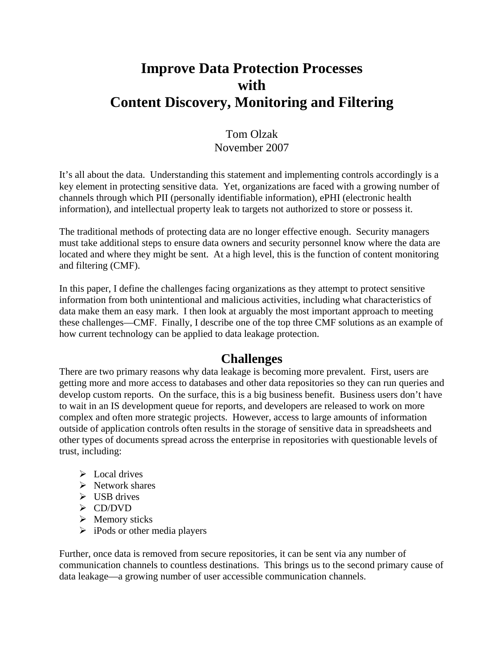# **Improve Data Protection Processes with Content Discovery, Monitoring and Filtering**

### Tom Olzak November 2007

It's all about the data. Understanding this statement and implementing controls accordingly is a key element in protecting sensitive data. Yet, organizations are faced with a growing number of channels through which PII (personally identifiable information), ePHI (electronic health information), and intellectual property leak to targets not authorized to store or possess it.

The traditional methods of protecting data are no longer effective enough. Security managers must take additional steps to ensure data owners and security personnel know where the data are located and where they might be sent. At a high level, this is the function of content monitoring and filtering (CMF).

In this paper, I define the challenges facing organizations as they attempt to protect sensitive information from both unintentional and malicious activities, including what characteristics of data make them an easy mark. I then look at arguably the most important approach to meeting these challenges—CMF. Finally, I describe one of the top three CMF solutions as an example of how current technology can be applied to data leakage protection.

### **Challenges**

There are two primary reasons why data leakage is becoming more prevalent. First, users are getting more and more access to databases and other data repositories so they can run queries and develop custom reports. On the surface, this is a big business benefit. Business users don't have to wait in an IS development queue for reports, and developers are released to work on more complex and often more strategic projects. However, access to large amounts of information outside of application controls often results in the storage of sensitive data in spreadsheets and other types of documents spread across the enterprise in repositories with questionable levels of trust, including:

- $\triangleright$  Local drives
- $\triangleright$  Network shares
- $\triangleright$  USB drives
- ¾ CD/DVD
- $\triangleright$  Memory sticks
- $\triangleright$  iPods or other media players

Further, once data is removed from secure repositories, it can be sent via any number of communication channels to countless destinations. This brings us to the second primary cause of data leakage—a growing number of user accessible communication channels.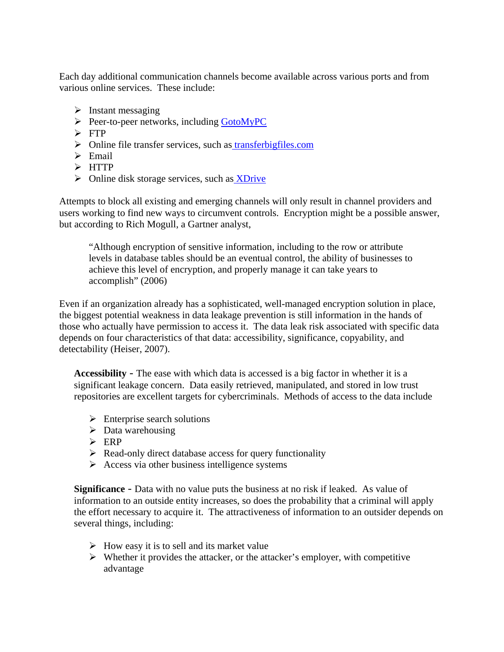Each day additional communication channels become available across various ports and from various online services. These include:

- $\triangleright$  Instant messaging
- $\triangleright$  Peer-to-peer networks, including [GotoMyPC](http://gotomypc.com/)
- $\triangleright$  FTP
- $\triangleright$  Online file transfer services, such as transfer big files.com
- $\triangleright$  Email
- $\triangleright$  HTTP
- $\triangleright$  Online disk storage services, such as **XDrive**

Attempts to block all existing and emerging channels will only result in channel providers and users working to find new ways to circumvent controls. Encryption might be a possible answer, but according to Rich Mogull, a Gartner analyst,

"Although encryption of sensitive information, including to the row or attribute levels in database tables should be an eventual control, the ability of businesses to achieve this level of encryption, and properly manage it can take years to accomplish" (2006)

Even if an organization already has a sophisticated, well-managed encryption solution in place, the biggest potential weakness in data leakage prevention is still information in the hands of those who actually have permission to access it. The data leak risk associated with specific data depends on four characteristics of that data: accessibility, significance, copyability, and detectability (Heiser, 2007).

**Accessibility** *-* The ease with which data is accessed is a big factor in whether it is a significant leakage concern. Data easily retrieved, manipulated, and stored in low trust repositories are excellent targets for cybercriminals. Methods of access to the data include

- $\triangleright$  Enterprise search solutions
- $\triangleright$  Data warehousing
- $\triangleright$  ERP
- $\triangleright$  Read-only direct database access for query functionality
- $\triangleright$  Access via other business intelligence systems

**Significance** *-* Data with no value puts the business at no risk if leaked. As value of information to an outside entity increases, so does the probability that a criminal will apply the effort necessary to acquire it. The attractiveness of information to an outsider depends on several things, including:

- $\triangleright$  How easy it is to sell and its market value
- $\triangleright$  Whether it provides the attacker, or the attacker's employer, with competitive advantage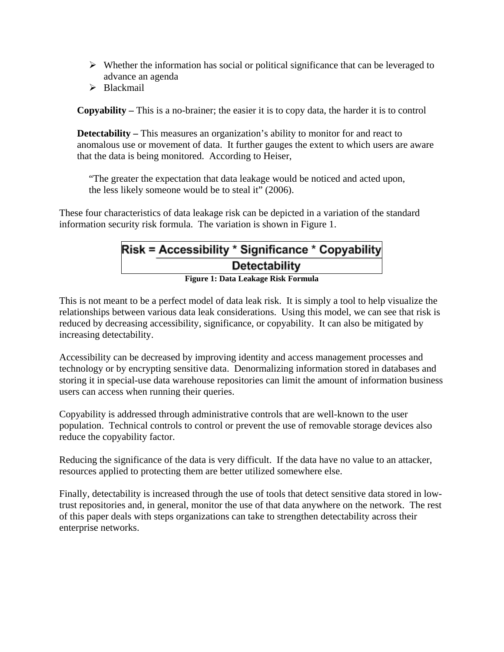- $\triangleright$  Whether the information has social or political significance that can be leveraged to advance an agenda
- $\triangleright$  Blackmail

**Copyability –** This is a no-brainer; the easier it is to copy data, the harder it is to control

**Detectability** – This measures an organization's ability to monitor for and react to anomalous use or movement of data. It further gauges the extent to which users are aware that the data is being monitored. According to Heiser,

"The greater the expectation that data leakage would be noticed and acted upon, the less likely someone would be to steal it" (2006).

These four characteristics of data leakage risk can be depicted in a variation of the standard information security risk formula. The variation is shown in Figure 1.

# Risk = Accessibility \* Significance \* Copyability<br>Detectability Detectability

**Figure 1: Data Leakage Risk Formula** 

This is not meant to be a perfect model of data leak risk. It is simply a tool to help visualize the relationships between various data leak considerations. Using this model, we can see that risk is reduced by decreasing accessibility, significance, or copyability. It can also be mitigated by increasing detectability.

Accessibility can be decreased by improving identity and access management processes and technology or by encrypting sensitive data. Denormalizing information stored in databases and storing it in special-use data warehouse repositories can limit the amount of information business users can access when running their queries.

Copyability is addressed through administrative controls that are well-known to the user population. Technical controls to control or prevent the use of removable storage devices also reduce the copyability factor.

Reducing the significance of the data is very difficult. If the data have no value to an attacker, resources applied to protecting them are better utilized somewhere else.

Finally, detectability is increased through the use of tools that detect sensitive data stored in lowtrust repositories and, in general, monitor the use of that data anywhere on the network. The rest of this paper deals with steps organizations can take to strengthen detectability across their enterprise networks.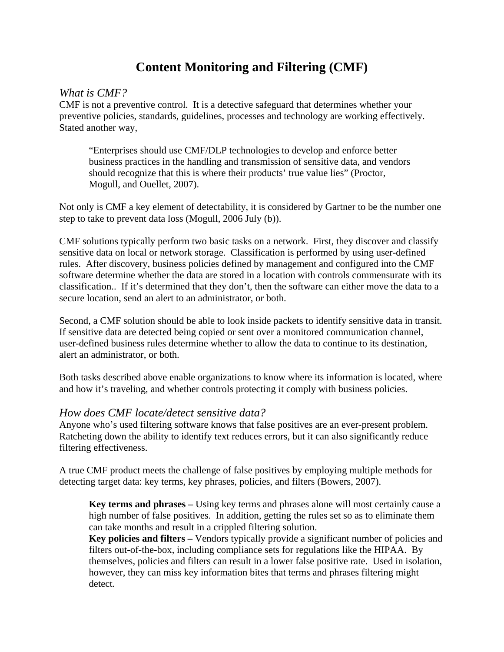# **Content Monitoring and Filtering (CMF)**

#### <span id="page-3-0"></span>*What is CMF?*

CMF is not a preventive control. It is a detective safeguard that determines whether your preventive policies, standards, guidelines, processes and technology are working effectively. Stated another way,

"Enterprises should use CMF/DLP technologies to develop and enforce better business practices in the handling and transmission of sensitive data, and vendors should recognize that this is where their products' true value lies" (Proctor, Mogull, and Ouellet, 2007).

Not only is CMF a key element of detectability, it is considered by Gartner to be the number one step to take to prevent data loss (Mogull, 2006 July (b)).

CMF solutions typically perform two basic tasks on a network. First, they discover and classify sensitive data on local or network storage. Classification is performed by using user-defined rules. After discovery, business policies defined by management and configured into the CMF software determine whether the data are stored in a location with controls commensurate with its classification.. If it's determined that they don't, then the software can either move the data to a secure location, send an alert to an administrator, or both.

Second, a CMF solution should be able to look inside packets to identify sensitive data in transit. If sensitive data are detected being copied or sent over a monitored communication channel, user-defined business rules determine whether to allow the data to continue to its destination, alert an administrator, or both.

Both tasks described above enable organizations to know where its information is located, where and how it's traveling, and whether controls protecting it comply with business policies.

#### *How does CMF locate/detect sensitive data?*

Anyone who's used filtering software knows that false positives are an ever-present problem. Ratcheting down the ability to identify text reduces errors, but it can also significantly reduce filtering effectiveness.

A true CMF product meets the challenge of false positives by employing multiple methods for detecting target data: key terms, key phrases, policies, and filters (Bowers, 2007).

**Key terms and phrases –** Using key terms and phrases alone will most certainly cause a high number of false positives. In addition, getting the rules set so as to eliminate them can take months and result in a crippled filtering solution.

**Key policies and filters –** Vendors typically provide a significant number of policies and filters out-of-the-box, including compliance sets for regulations like the HIPAA. By themselves, policies and filters can result in a lower false positive rate. Used in isolation, however, they can miss key information bites that terms and phrases filtering might detect.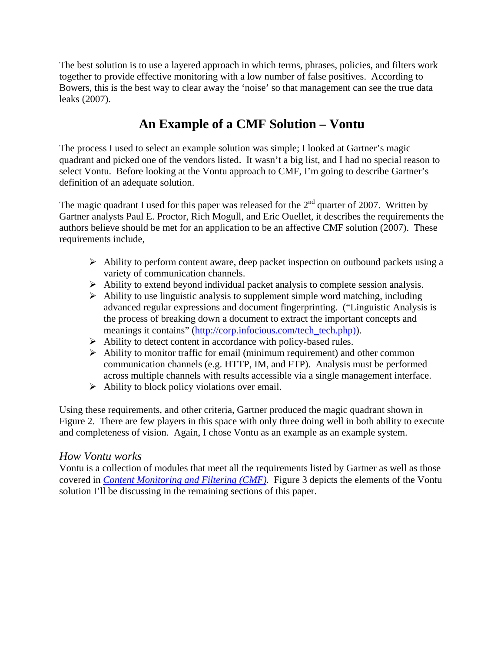The best solution is to use a layered approach in which terms, phrases, policies, and filters work together to provide effective monitoring with a low number of false positives. According to Bowers, this is the best way to clear away the 'noise' so that management can see the true data leaks (2007).

# **An Example of a CMF Solution – Vontu**

The process I used to select an example solution was simple; I looked at Gartner's magic quadrant and picked one of the vendors listed. It wasn't a big list, and I had no special reason to select Vontu. Before looking at the Vontu approach to CMF, I'm going to describe Gartner's definition of an adequate solution.

The magic quadrant I used for this paper was released for the  $2<sup>nd</sup>$  quarter of 2007. Written by Gartner analysts Paul E. Proctor, Rich Mogull, and Eric Ouellet, it describes the requirements the authors believe should be met for an application to be an affective CMF solution (2007). These requirements include,

- $\triangleright$  Ability to perform content aware, deep packet inspection on outbound packets using a variety of communication channels.
- $\triangleright$  Ability to extend beyond individual packet analysis to complete session analysis.
- $\triangleright$  Ability to use linguistic analysis to supplement simple word matching, including advanced regular expressions and document fingerprinting. ("Linguistic Analysis is the process of breaking down a document to extract the important concepts and meanings it contains" [\(http://corp.infocious.com/tech\\_tech.php\)\)](http://corp.infocious.com/tech_tech.php)).
- $\triangleright$  Ability to detect content in accordance with policy-based rules.
- $\triangleright$  Ability to monitor traffic for email (minimum requirement) and other common communication channels (e.g. HTTP, IM, and FTP). Analysis must be performed across multiple channels with results accessible via a single management interface.
- $\triangleright$  Ability to block policy violations over email.

Using these requirements, and other criteria, Gartner produced the magic quadrant shown in Figure 2. There are few players in this space with only three doing well in both ability to execute and completeness of vision. Again, I chose Vontu as an example as an example system.

#### *How Vontu works*

Vontu is a collection of modules that meet all the requirements listed by Gartner as well as those covered in *[Content Monitoring and Filtering \(CMF\).](#page-3-0)* Figure 3 depicts the elements of the Vontu solution I'll be discussing in the remaining sections of this paper.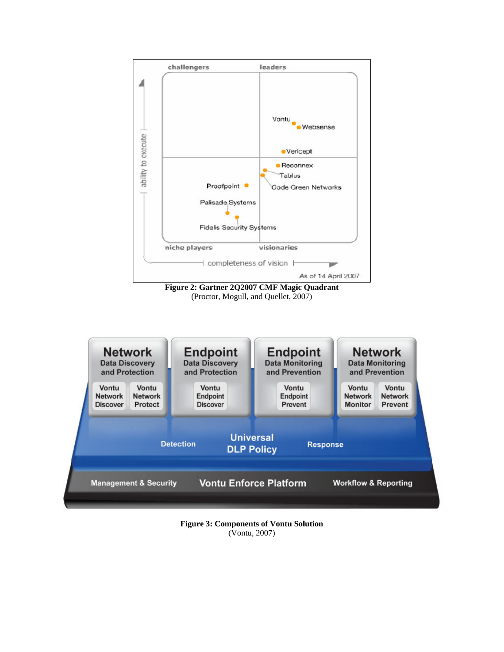

**Figure 2: Gartner 2Q2007 CMF Magic Quadrant**  (Proctor, Mogull, and Quellet, 2007)



**Figure 3: Components of Vontu Solution**  (Vontu, 2007)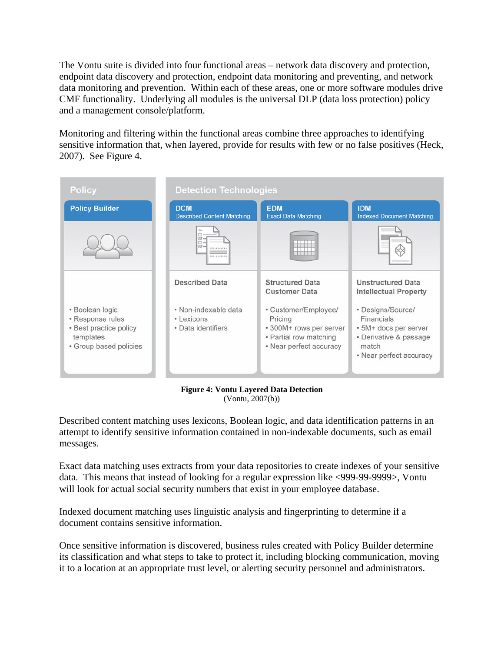The Vontu suite is divided into four functional areas – network data discovery and protection, endpoint data discovery and protection, endpoint data monitoring and preventing, and network data monitoring and prevention. Within each of these areas, one or more software modules drive CMF functionality. Underlying all modules is the universal DLP (data loss protection) policy and a management console/platform.

Monitoring and filtering within the functional areas combine three approaches to identifying sensitive information that, when layered, provide for results with few or no false positives (Heck, 2007). See Figure 4.

| <b>Policy</b>                                                                                        | <b>Detection Technologies</b>                            |                                                                                                                 |                                                                                                                        |
|------------------------------------------------------------------------------------------------------|----------------------------------------------------------|-----------------------------------------------------------------------------------------------------------------|------------------------------------------------------------------------------------------------------------------------|
| <b>Policy Builder</b>                                                                                | <b>DCM</b><br><b>Described Content Matching</b>          | <b>EDM</b><br><b>Exact Data Matching</b>                                                                        | <b>IDM</b><br><b>Indexed Document Matching</b>                                                                         |
|                                                                                                      | <b>CKK-KK-SKKXX</b><br>EXX-KY-YES                        |                                                                                                                 |                                                                                                                        |
|                                                                                                      | <b>Described Data</b>                                    | <b>Structured Data</b><br><b>Customer Data</b>                                                                  | <b>Unstructured Data</b><br><b>Intellectual Property</b>                                                               |
| • Boolean logic<br>• Response rules<br>• Best practice policy<br>templates<br>· Group based policies | • Non-indexable data<br>• Lexicons<br>• Data identifiers | • Customer/Employee/<br>Pricing<br>* 300M+ rows per server<br>• Partial row matching<br>• Near perfect accuracy | • Designs/Source/<br>Financials<br>• 5M+ docs per server<br>• Derivative & passage<br>match<br>• Near perfect accuracy |

**Figure 4: Vontu Layered Data Detection**  (Vontu, 2007(b))

Described content matching uses lexicons, Boolean logic, and data identification patterns in an attempt to identify sensitive information contained in non-indexable documents, such as email messages.

Exact data matching uses extracts from your data repositories to create indexes of your sensitive data. This means that instead of looking for a regular expression like <999-99-9999>, Vontu will look for actual social security numbers that exist in your employee database.

Indexed document matching uses linguistic analysis and fingerprinting to determine if a document contains sensitive information.

Once sensitive information is discovered, business rules created with Policy Builder determine its classification and what steps to take to protect it, including blocking communication, moving it to a location at an appropriate trust level, or alerting security personnel and administrators.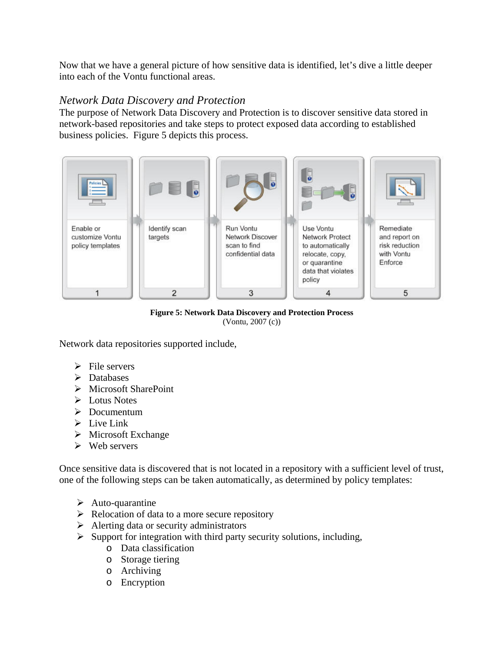Now that we have a general picture of how sensitive data is identified, let's dive a little deeper into each of the Vontu functional areas.

#### *Network Data Discovery and Protection*

The purpose of Network Data Discovery and Protection is to discover sensitive data stored in network-based repositories and take steps to protect exposed data according to established business policies. Figure 5 depicts this process.



**Figure 5: Network Data Discovery and Protection Process**  (Vontu, 2007 (c))

Network data repositories supported include,

- $\triangleright$  File servers
- $\triangleright$  Databases
- ¾ Microsoft SharePoint
- ¾ Lotus Notes
- $\triangleright$  Documentum
- $\triangleright$  Live Link
- $\triangleright$  Microsoft Exchange
- $\triangleright$  Web servers

Once sensitive data is discovered that is not located in a repository with a sufficient level of trust, one of the following steps can be taken automatically, as determined by policy templates:

- $\triangleright$  Auto-quarantine
- $\triangleright$  Relocation of data to a more secure repository
- $\triangleright$  Alerting data or security administrators
- $\triangleright$  Support for integration with third party security solutions, including,
	- o Data classification
	- o Storage tiering
	- o Archiving
	- o Encryption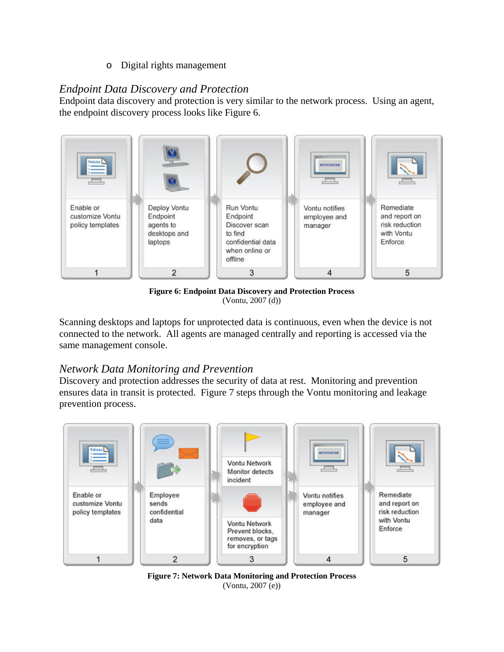o Digital rights management

### *Endpoint Data Discovery and Protection*

Endpoint data discovery and protection is very similar to the network process. Using an agent, the endpoint discovery process looks like Figure 6.



**Figure 6: Endpoint Data Discovery and Protection Process**  (Vontu, 2007 (d))

Scanning desktops and laptops for unprotected data is continuous, even when the device is not connected to the network. All agents are managed centrally and reporting is accessed via the same management console.

## *Network Data Monitoring and Prevention*

Discovery and protection addresses the security of data at rest. Monitoring and prevention ensures data in transit is protected. Figure 7 steps through the Vontu monitoring and leakage prevention process.



**Figure 7: Network Data Monitoring and Protection Process**  (Vontu, 2007 (e))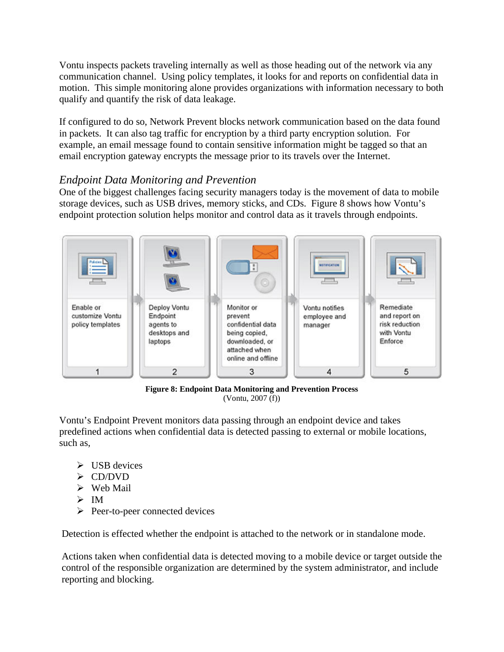Vontu inspects packets traveling internally as well as those heading out of the network via any communication channel. Using policy templates, it looks for and reports on confidential data in motion. This simple monitoring alone provides organizations with information necessary to both qualify and quantify the risk of data leakage.

If configured to do so, Network Prevent blocks network communication based on the data found in packets. It can also tag traffic for encryption by a third party encryption solution. For example, an email message found to contain sensitive information might be tagged so that an email encryption gateway encrypts the message prior to its travels over the Internet.

### *Endpoint Data Monitoring and Prevention*

One of the biggest challenges facing security managers today is the movement of data to mobile storage devices, such as USB drives, memory sticks, and CDs. Figure 8 shows how Vontu's endpoint protection solution helps monitor and control data as it travels through endpoints.



**Figure 8: Endpoint Data Monitoring and Prevention Process**  (Vontu, 2007 (f))

Vontu's Endpoint Prevent monitors data passing through an endpoint device and takes predefined actions when confidential data is detected passing to external or mobile locations, such as,

- $\triangleright$  USB devices
- $\triangleright$  CD/DVD
- $\triangleright$  Web Mail
- $> \mathbb{M}$
- $\triangleright$  Peer-to-peer connected devices

Detection is effected whether the endpoint is attached to the network or in standalone mode.

Actions taken when confidential data is detected moving to a mobile device or target outside the control of the responsible organization are determined by the system administrator, and include reporting and blocking.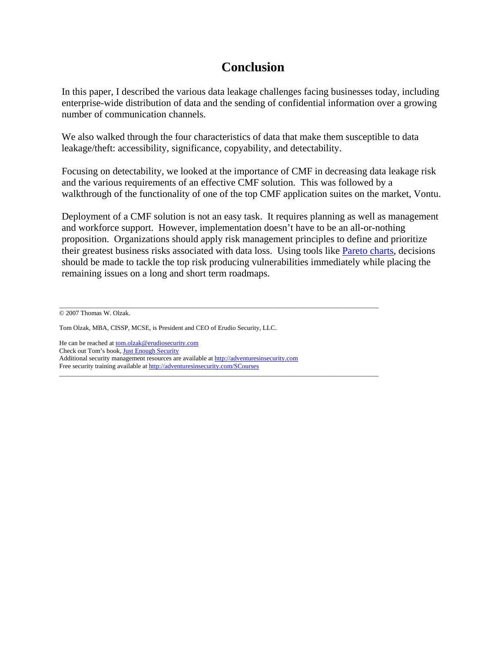# **Conclusion**

In this paper, I described the various data leakage challenges facing businesses today, including enterprise-wide distribution of data and the sending of confidential information over a growing number of communication channels.

We also walked through the four characteristics of data that make them susceptible to data leakage/theft: accessibility, significance, copyability, and detectability.

Focusing on detectability, we looked at the importance of CMF in decreasing data leakage risk and the various requirements of an effective CMF solution. This was followed by a walkthrough of the functionality of one of the top CMF application suites on the market, Vontu.

Deployment of a CMF solution is not an easy task. It requires planning as well as management and workforce support. However, implementation doesn't have to be an all-or-nothing proposition. Organizations should apply risk management principles to define and prioritize their greatest business risks associated with data loss. Using tools like [Pareto charts](http://en.wikipedia.org/wiki/Pareto_chart), decisions should be made to tackle the top risk producing vulnerabilities immediately while placing the remaining issues on a long and short term roadmaps.

\_\_\_\_\_\_\_\_\_\_\_\_\_\_\_\_\_\_\_\_\_\_\_\_\_\_\_\_\_\_\_\_\_\_\_\_\_\_\_\_\_\_\_\_\_\_\_\_\_\_\_\_\_\_\_\_\_\_\_\_\_\_\_\_\_\_\_\_\_\_\_\_\_\_\_\_\_\_\_\_\_\_\_\_\_\_\_\_\_\_\_\_\_\_\_\_\_ © 2007 Thomas W. Olzak.

He can be reached at **[tom.olzak@erudiosecurity.com](mailto:tom.olzak@erudiosecurity.com)** Check out Tom's book, [Just Enough Security](http://www.amazon.com/Just-Enough-Security-Information-Business/dp/141167541X/ref=pd_bbs_sr_1/103-8818133-0228633?ie=UTF8&s=books&qid=1192219037&sr=8-1) Additional security management resources are available at [http://adventuresinsecurity.com](http://adventuresinsecurity.com/) Free security training available at<http://adventuresinsecurity.com/SCourses>

 $\_$  ,  $\_$  ,  $\_$  ,  $\_$  ,  $\_$  ,  $\_$  ,  $\_$  ,  $\_$  ,  $\_$  ,  $\_$  ,  $\_$  ,  $\_$  ,  $\_$  ,  $\_$  ,  $\_$  ,  $\_$  ,  $\_$  ,  $\_$  ,  $\_$  ,  $\_$  ,  $\_$  ,  $\_$  ,  $\_$  ,  $\_$  ,  $\_$  ,  $\_$  ,  $\_$  ,  $\_$  ,  $\_$  ,  $\_$  ,  $\_$  ,  $\_$  ,  $\_$  ,  $\_$  ,  $\_$  ,  $\_$  ,  $\_$  ,

Tom Olzak, MBA, CISSP, MCSE, is President and CEO of Erudio Security, LLC.